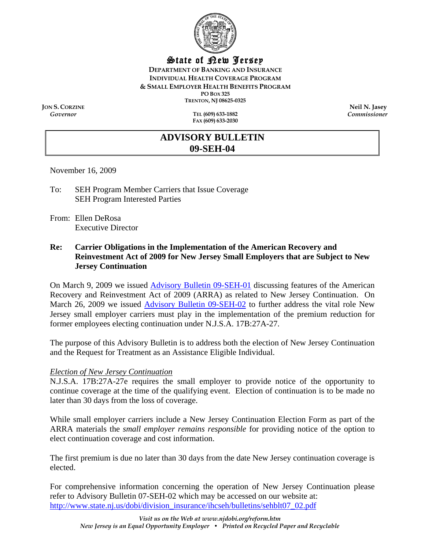

## State of New Jersey

**DEPARTMENT OF BANKING AND INSURANCE INDIVIDUAL HEALTH COVERAGE PROGRAM & SMALL EMPLOYER HEALTH BENEFITS PROGRAM PO BOX 325 TRENTON, NJ 08625-0325** 

**JON S. CORZINE**<br>
Governor<br> **Convertisioner**<br> **Convertisioner**<br> **Convertisioner** 

*Governor* **TEL (609) 633-1882 FAX (609) 633-2030**  *Commissioner* 

# **ADVISORY BULLETIN 09-SEH-04**

November 16, 2009

- To: SEH Program Member Carriers that Issue Coverage SEH Program Interested Parties
- From: Ellen DeRosa Executive Director

### **Re: Carrier Obligations in the Implementation of the American Recovery and Reinvestment Act of 2009 for New Jersey Small Employers that are Subject to New Jersey Continuation**

On March 9, 2009 we issue[d Advisory Bulletin 09-SEH-01 d](http://www.state.nj.us/dobi/division_insurance/ihcseh/bulletins/sehblt09_01.pdf)iscussing features of the American Recovery and Reinvestment Act of 2009 (ARRA) as related to New Jersey Continuation. On March 26, 2009 we issued **Advisory Bulletin 09-SEH-02** to further address the vital role New Jersey small employer carriers must play in the implementation of the premium reduction for former employees electing continuation under N.J.S.A. 17B:27A-27.

The purpose of this Advisory Bulletin is to address both the election of New Jersey Continuation and the Request for Treatment as an Assistance Eligible Individual.

#### *Election of New Jersey Continuation*

N.J.S.A. 17B:27A-27e requires the small employer to provide notice of the opportunity to continue coverage at the time of the qualifying event. Election of continuation is to be made no later than 30 days from the loss of coverage.

While small employer carriers include a New Jersey Continuation Election Form as part of the ARRA materials the *small employer remains responsible* for providing notice of the option to elect continuation coverage and cost information.

The first premium is due no later than 30 days from the date New Jersey continuation coverage is elected.

For comprehensive information concerning the operation of New Jersey Continuation please refer to Advisory Bulletin 07-SEH-02 which may be accessed on our website at: http://www.state.nj.us/dobi/division\_insurance/ihcseh/bulletins/sehblt07\_02.pdf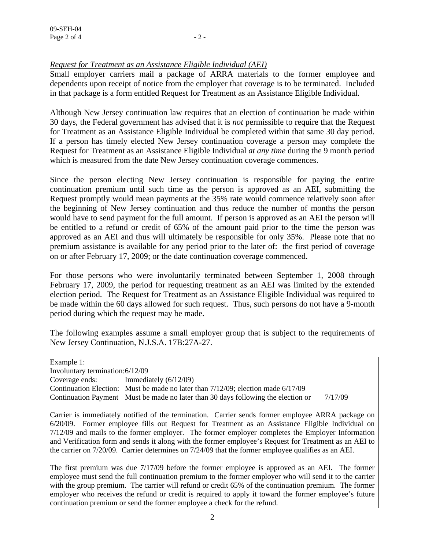# *Request for Treatment as an Assistance Eligible Individual (AEI)*

Small employer carriers mail a package of ARRA materials to the former employee and dependents upon receipt of notice from the employer that coverage is to be terminated. Included in that package is a form entitled Request for Treatment as an Assistance Eligible Individual.

Although New Jersey continuation law requires that an election of continuation be made within 30 days, the Federal government has advised that it is *not* permissible to require that the Request for Treatment as an Assistance Eligible Individual be completed within that same 30 day period. If a person has timely elected New Jersey continuation coverage a person may complete the Request for Treatment as an Assistance Eligible Individual *at any time* during the 9 month period which is measured from the date New Jersey continuation coverage commences.

Since the person electing New Jersey continuation is responsible for paying the entire continuation premium until such time as the person is approved as an AEI, submitting the Request promptly would mean payments at the 35% rate would commence relatively soon after the beginning of New Jersey continuation and thus reduce the number of months the person would have to send payment for the full amount. If person is approved as an AEI the person will be entitled to a refund or credit of 65% of the amount paid prior to the time the person was approved as an AEI and thus will ultimately be responsible for only 35%. Please note that no premium assistance is available for any period prior to the later of: the first period of coverage on or after February 17, 2009; or the date continuation coverage commenced.

For those persons who were involuntarily terminated between September 1, 2008 through February 17, 2009, the period for requesting treatment as an AEI was limited by the extended election period. The Request for Treatment as an Assistance Eligible Individual was required to be made within the 60 days allowed for such request. Thus, such persons do not have a 9-month period during which the request may be made.

The following examples assume a small employer group that is subject to the requirements of New Jersey Continuation, N.J.S.A. 17B:27A-27.

Example 1: Involuntary termination: 6/12/09 Coverage ends: Immediately (6/12/09) Continuation Election: Must be made no later than 7/12/09; election made 6/17/09 Continuation Payment Must be made no later than 30 days following the election or 7/17/09

Carrier is immediately notified of the termination. Carrier sends former employee ARRA package on 6/20/09. Former employee fills out Request for Treatment as an Assistance Eligible Individual on 7/12/09 and mails to the former employer. The former employer completes the Employer Information and Verification form and sends it along with the former employee's Request for Treatment as an AEI to the carrier on 7/20/09. Carrier determines on 7/24/09 that the former employee qualifies as an AEI.

The first premium was due 7/17/09 before the former employee is approved as an AEI. The former employee must send the full continuation premium to the former employer who will send it to the carrier with the group premium. The carrier will refund or credit 65% of the continuation premium. The former employer who receives the refund or credit is required to apply it toward the former employee's future continuation premium or send the former employee a check for the refund.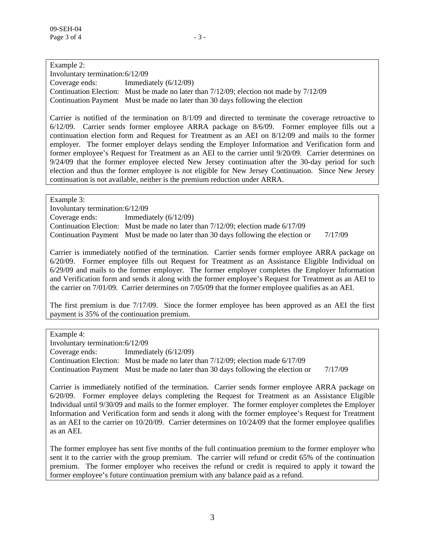Example 2: Involuntary termination: 6/12/09 Coverage ends: Immediately (6/12/09) Continuation Election: Must be made no later than 7/12/09; election not made by 7/12/09 Continuation Payment Must be made no later than 30 days following the election

Carrier is notified of the termination on 8/1/09 and directed to terminate the coverage retroactive to 6/12/09. Carrier sends former employee ARRA package on 8/6/09. Former employee fills out a continuation election form and Request for Treatment as an AEI on 8/12/09 and mails to the former employer. The former employer delays sending the Employer Information and Verification form and former employee's Request for Treatment as an AEI to the carrier until 9/20/09. Carrier determines on 9/24/09 that the former employee elected New Jersey continuation after the 30-day period for such election and thus the former employee is not eligible for New Jersey Continuation. Since New Jersey continuation is not available, neither is the premium reduction under ARRA.

Example 3:

Involuntary termination: 6/12/09

Coverage ends: Immediately (6/12/09) Continuation Election: Must be made no later than 7/12/09; election made 6/17/09 Continuation Payment Must be made no later than 30 days following the election or 7/17/09

Carrier is immediately notified of the termination. Carrier sends former employee ARRA package on 6/20/09. Former employee fills out Request for Treatment as an Assistance Eligible Individual on 6/29/09 and mails to the former employer. The former employer completes the Employer Information and Verification form and sends it along with the former employee's Request for Treatment as an AEI to the carrier on 7/01/09. Carrier determines on 7/05/09 that the former employee qualifies as an AEI.

The first premium is due 7/17/09. Since the former employee has been approved as an AEI the first payment is 35% of the continuation premium.

Example 4:

Involuntary termination: 6/12/09 Coverage ends: Immediately (6/12/09) Continuation Election: Must be made no later than 7/12/09; election made 6/17/09 Continuation Payment Must be made no later than 30 days following the election or 7/17/09

Carrier is immediately notified of the termination. Carrier sends former employee ARRA package on 6/20/09. Former employee delays completing the Request for Treatment as an Assistance Eligible Individual until 9/30/09 and mails to the former employer. The former employer completes the Employer Information and Verification form and sends it along with the former employee's Request for Treatment as an AEI to the carrier on 10/20/09. Carrier determines on 10/24/09 that the former employee qualifies as an AEI.

The former employee has sent five months of the full continuation premium to the former employer who sent it to the carrier with the group premium. The carrier will refund or credit 65% of the continuation premium. The former employer who receives the refund or credit is required to apply it toward the former employee's future continuation premium with any balance paid as a refund.